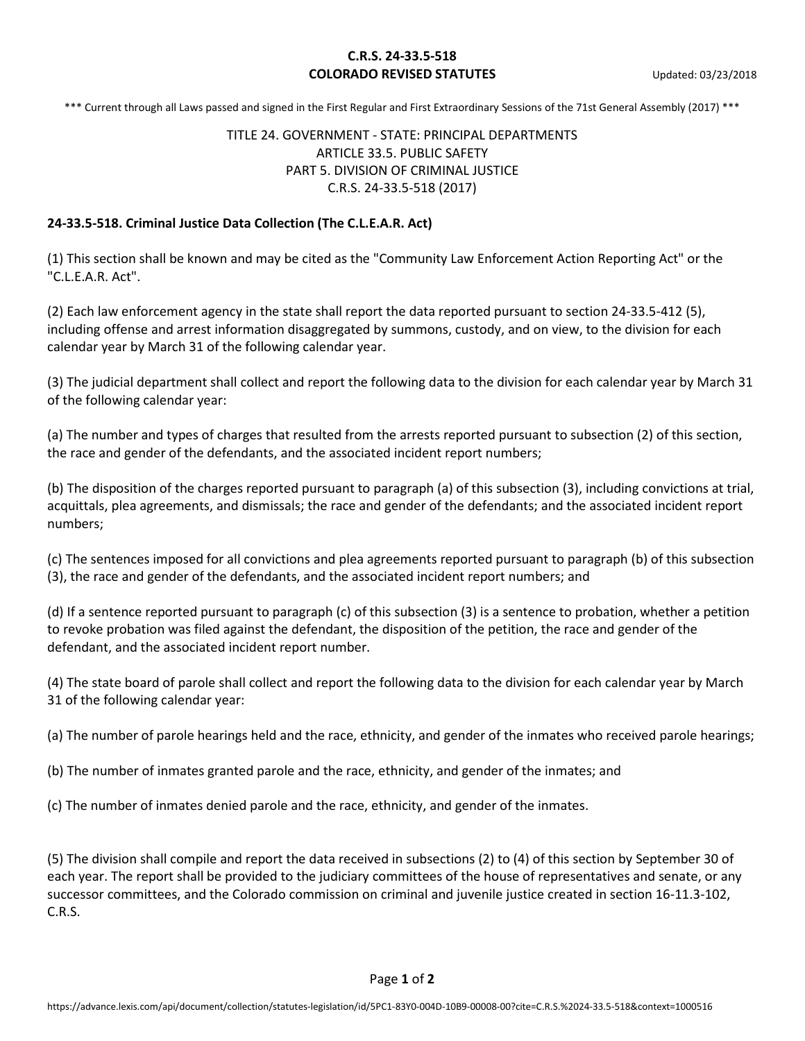## **C.R.S. 24-33.5-518 COLORADO REVISED STATUTES** Updated: 03/23/2018

\*\*\* Current through all Laws passed and signed in the First Regular and First Extraordinary Sessions of the 71st General Assembly (2017) \*\*\*

## TITLE 24. GOVERNMENT - STATE: PRINCIPAL DEPARTMENTS ARTICLE 33.5. PUBLIC SAFETY PART 5. DIVISION OF CRIMINAL JUSTICE C.R.S. 24-33.5-518 (2017)

## **24-33.5-518. Criminal Justice Data Collection (The C.L.E.A.R. Act)**

(1) This section shall be known and may be cited as the "Community Law Enforcement Action Reporting Act" or the "C.L.E.A.R. Act".

(2) Each law enforcement agency in the state shall report the data reported pursuant to section 24-33.5-412 (5), including offense and arrest information disaggregated by summons, custody, and on view, to the division for each calendar year by March 31 of the following calendar year.

(3) The judicial department shall collect and report the following data to the division for each calendar year by March 31 of the following calendar year:

(a) The number and types of charges that resulted from the arrests reported pursuant to subsection (2) of this section, the race and gender of the defendants, and the associated incident report numbers;

(b) The disposition of the charges reported pursuant to paragraph (a) of this subsection (3), including convictions at trial, acquittals, plea agreements, and dismissals; the race and gender of the defendants; and the associated incident report numbers;

(c) The sentences imposed for all convictions and plea agreements reported pursuant to paragraph (b) of this subsection (3), the race and gender of the defendants, and the associated incident report numbers; and

(d) If a sentence reported pursuant to paragraph (c) of this subsection (3) is a sentence to probation, whether a petition to revoke probation was filed against the defendant, the disposition of the petition, the race and gender of the defendant, and the associated incident report number.

(4) The state board of parole shall collect and report the following data to the division for each calendar year by March 31 of the following calendar year:

(a) The number of parole hearings held and the race, ethnicity, and gender of the inmates who received parole hearings;

(b) The number of inmates granted parole and the race, ethnicity, and gender of the inmates; and

(c) The number of inmates denied parole and the race, ethnicity, and gender of the inmates.

(5) The division shall compile and report the data received in subsections (2) to (4) of this section by September 30 of each year. The report shall be provided to the judiciary committees of the house of representatives and senate, or any successor committees, and the Colorado commission on criminal and juvenile justice created in section 16-11.3-102, C.R.S.